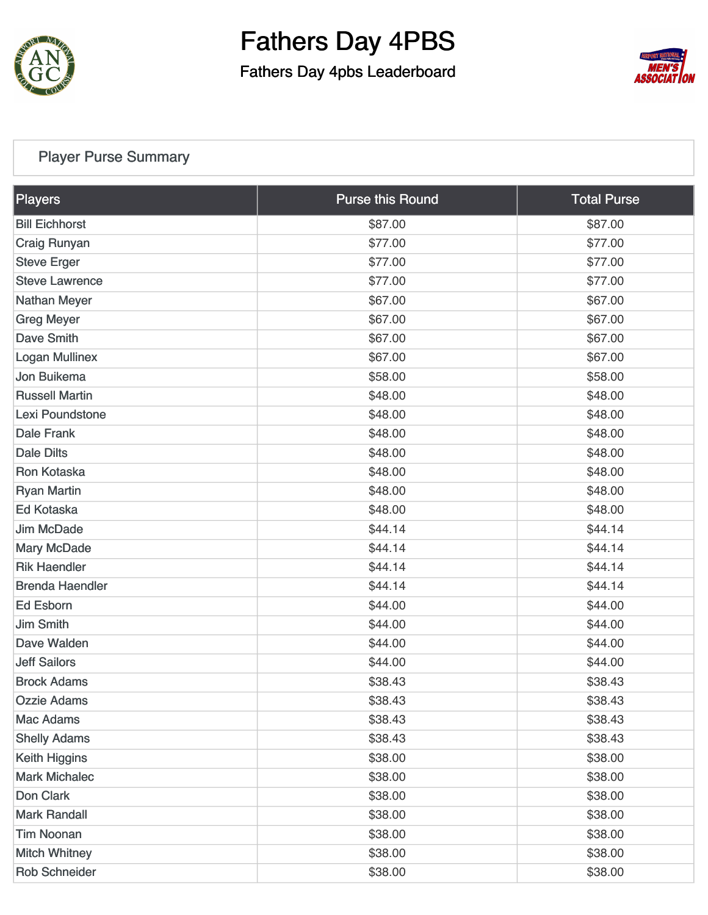

Fathers Day 4pbs Leaderboard



### [Player Purse Summary](https://static.golfgenius.com/v2tournaments/total_purse?league_id=8567309238773252842&round_id=8567379445315306375)

| Players                | <b>Purse this Round</b> | <b>Total Purse</b> |
|------------------------|-------------------------|--------------------|
| <b>Bill Eichhorst</b>  | \$87.00                 | \$87.00            |
| Craig Runyan           | \$77.00                 | \$77.00            |
| <b>Steve Erger</b>     | \$77.00                 | \$77.00            |
| <b>Steve Lawrence</b>  | \$77.00                 | \$77.00            |
| <b>Nathan Meyer</b>    | \$67.00                 | \$67.00            |
| <b>Greg Meyer</b>      | \$67.00                 | \$67.00            |
| <b>Dave Smith</b>      | \$67.00                 | \$67.00            |
| <b>Logan Mullinex</b>  | \$67.00                 | \$67.00            |
| Jon Buikema            | \$58.00                 | \$58.00            |
| <b>Russell Martin</b>  | \$48.00                 | \$48.00            |
| Lexi Poundstone        | \$48.00                 | \$48.00            |
| <b>Dale Frank</b>      | \$48.00                 | \$48.00            |
| <b>Dale Dilts</b>      | \$48.00                 | \$48.00            |
| Ron Kotaska            | \$48.00                 | \$48.00            |
| <b>Ryan Martin</b>     | \$48.00                 | \$48.00            |
| <b>Ed Kotaska</b>      | \$48.00                 | \$48.00            |
| <b>Jim McDade</b>      | \$44.14                 | \$44.14            |
| <b>Mary McDade</b>     | \$44.14                 | \$44.14            |
| <b>Rik Haendler</b>    | \$44.14                 | \$44.14            |
| <b>Brenda Haendler</b> | \$44.14                 | \$44.14            |
| <b>Ed Esborn</b>       | \$44.00                 | \$44.00            |
| <b>Jim Smith</b>       | \$44.00                 | \$44.00            |
| Dave Walden            | \$44.00                 | \$44.00            |
| <b>Jeff Sailors</b>    | \$44.00                 | \$44.00            |
| <b>Brock Adams</b>     | \$38.43                 | \$38.43            |
| <b>Ozzie Adams</b>     | \$38.43                 | \$38.43            |
| <b>Mac Adams</b>       | \$38.43                 | \$38.43            |
| <b>Shelly Adams</b>    | \$38.43                 | \$38.43            |
| <b>Keith Higgins</b>   | \$38.00                 | \$38.00            |
| <b>Mark Michalec</b>   | \$38.00                 | \$38.00            |
| Don Clark              | \$38.00                 | \$38.00            |
| <b>Mark Randall</b>    | \$38.00                 | \$38.00            |
| <b>Tim Noonan</b>      | \$38.00                 | \$38.00            |
| <b>Mitch Whitney</b>   | \$38.00                 | \$38.00            |
| <b>Rob Schneider</b>   | \$38.00                 | \$38.00            |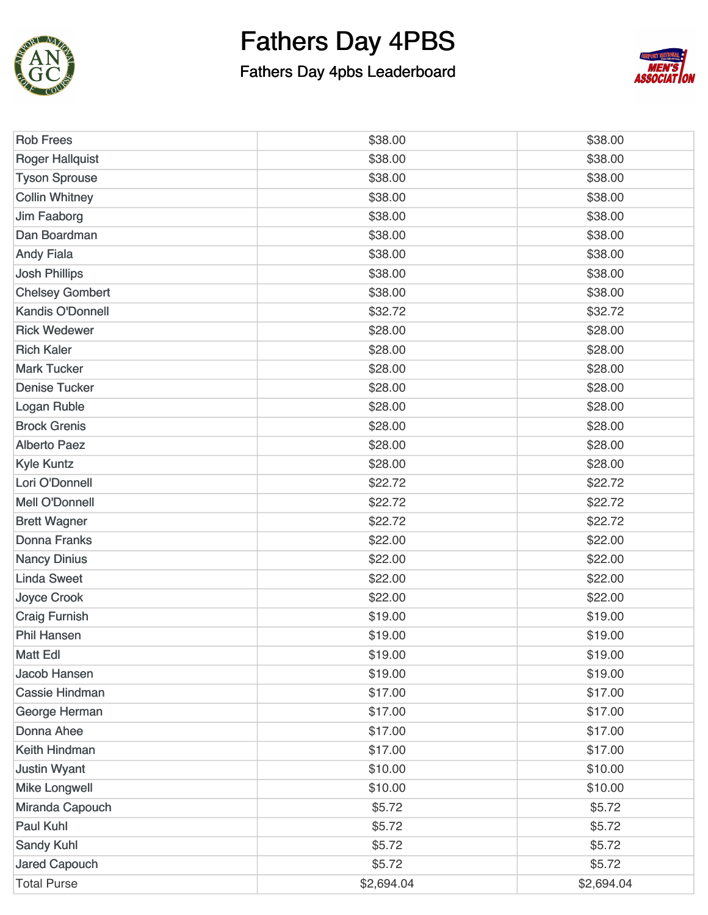

### Fathers Day 4pbs Leaderboard



| <b>Rob Frees</b>        | \$38.00    | \$38.00    |
|-------------------------|------------|------------|
| <b>Roger Hallquist</b>  | \$38.00    | \$38.00    |
| <b>Tyson Sprouse</b>    | \$38.00    | \$38.00    |
| <b>Collin Whitney</b>   | \$38.00    | \$38.00    |
| <b>Jim Faaborg</b>      | \$38.00    | \$38.00    |
| Dan Boardman            | \$38.00    | \$38.00    |
| <b>Andy Fiala</b>       | \$38.00    | \$38.00    |
| <b>Josh Phillips</b>    | \$38.00    | \$38.00    |
| <b>Chelsey Gombert</b>  | \$38.00    | \$38.00    |
| <b>Kandis O'Donnell</b> | \$32.72    | \$32.72    |
| <b>Rick Wedewer</b>     | \$28.00    | \$28.00    |
| <b>Rich Kaler</b>       | \$28.00    | \$28.00    |
| <b>Mark Tucker</b>      | \$28.00    | \$28.00    |
| <b>Denise Tucker</b>    | \$28.00    | \$28.00    |
| Logan Ruble             | \$28.00    | \$28.00    |
| <b>Brock Grenis</b>     | \$28.00    | \$28.00    |
| <b>Alberto Paez</b>     | \$28.00    | \$28.00    |
| <b>Kyle Kuntz</b>       | \$28.00    | \$28.00    |
| Lori O'Donnell          | \$22.72    | \$22.72    |
| <b>Mell O'Donnell</b>   | \$22.72    | \$22.72    |
| <b>Brett Wagner</b>     | \$22.72    | \$22.72    |
| <b>Donna Franks</b>     | \$22.00    | \$22.00    |
| <b>Nancy Dinius</b>     | \$22.00    | \$22.00    |
| <b>Linda Sweet</b>      | \$22.00    | \$22.00    |
| <b>Joyce Crook</b>      | \$22.00    | \$22.00    |
| <b>Craig Furnish</b>    | \$19.00    | \$19.00    |
| <b>Phil Hansen</b>      | \$19.00    | \$19.00    |
| Matt Edl                | \$19.00    | \$19.00    |
| <b>Jacob Hansen</b>     | \$19.00    | \$19.00    |
| <b>Cassie Hindman</b>   | \$17.00    | \$17.00    |
| George Herman           | \$17.00    | \$17.00    |
| <b>Donna Ahee</b>       | \$17.00    | \$17.00    |
| Keith Hindman           | \$17.00    | \$17.00    |
| <b>Justin Wyant</b>     | \$10.00    | \$10.00    |
| <b>Mike Longwell</b>    | \$10.00    | \$10.00    |
| Miranda Capouch         | \$5.72     | \$5.72     |
| <b>Paul Kuhl</b>        | \$5.72     | \$5.72     |
| <b>Sandy Kuhl</b>       | \$5.72     | \$5.72     |
| <b>Jared Capouch</b>    | \$5.72     | \$5.72     |
| <b>Total Purse</b>      | \$2,694.04 | \$2,694.04 |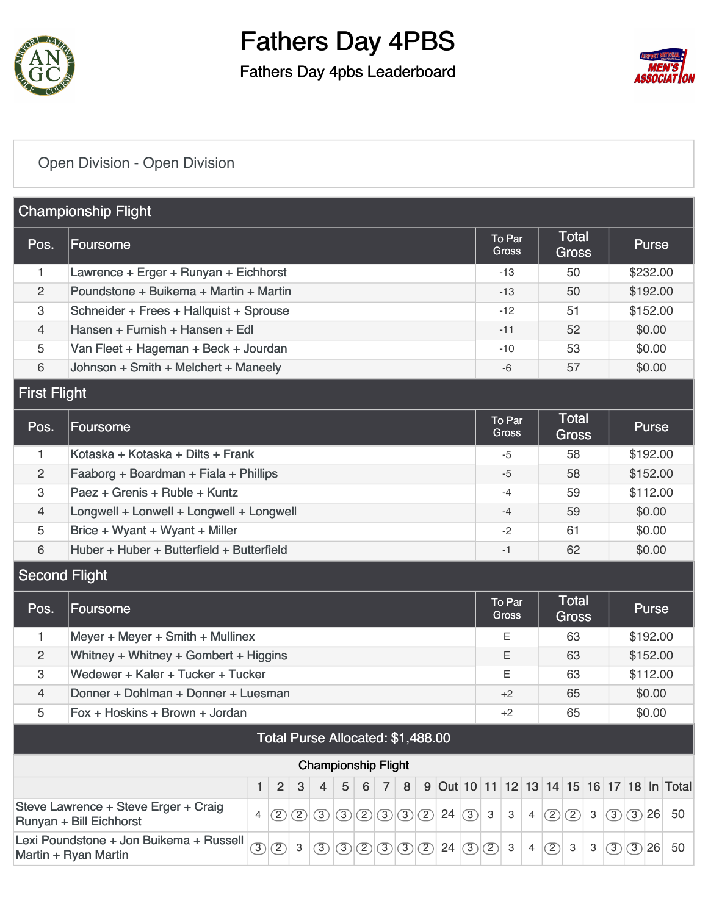

### Fathers Day 4pbs Leaderboard



### [Open Division - Open Division](https://static.golfgenius.com/v2tournaments/8575348851722978162?called_from=&round_index=1)

|                      | <b>Championship Flight</b>                                                                                                                                                                                            |                                         |   |                                  |   |            |              |    |
|----------------------|-----------------------------------------------------------------------------------------------------------------------------------------------------------------------------------------------------------------------|-----------------------------------------|---|----------------------------------|---|------------|--------------|----|
| Pos.                 | Foursome                                                                                                                                                                                                              | To Par<br>Gross                         |   | Total<br><b>Gross</b>            |   |            | <b>Purse</b> |    |
| 1                    | Lawrence + Erger + Runyan + Eichhorst                                                                                                                                                                                 | $-13$                                   |   | 50                               |   |            | \$232.00     |    |
| $\overline{c}$       | Poundstone + Buikema + Martin + Martin                                                                                                                                                                                | -13                                     |   | 50                               |   |            | \$192.00     |    |
| 3                    | Schneider + Frees + Hallquist + Sprouse                                                                                                                                                                               | -12                                     |   | 51                               |   |            | \$152.00     |    |
| 4                    | Hansen + Furnish + Hansen + Edl                                                                                                                                                                                       | $-11$                                   |   | 52                               |   |            | \$0.00       |    |
| 5                    | Van Fleet + Hageman + Beck + Jourdan                                                                                                                                                                                  | $-10$                                   |   | 53                               |   |            | \$0.00       |    |
| 6                    | Johnson + Smith + Melchert + Maneely                                                                                                                                                                                  | $-6$                                    |   | 57                               |   |            | \$0.00       |    |
| <b>First Flight</b>  |                                                                                                                                                                                                                       |                                         |   |                                  |   |            |              |    |
| Pos.                 | Foursome                                                                                                                                                                                                              | To Par<br><b>Gross</b>                  |   | <b>Total</b><br><b>Gross</b>     |   |            | <b>Purse</b> |    |
| 1                    | Kotaska + Kotaska + Dilts + Frank                                                                                                                                                                                     | -5                                      |   | 58                               |   |            | \$192.00     |    |
| $\overline{c}$       | Faaborg + Boardman + Fiala + Phillips                                                                                                                                                                                 | $-5$                                    |   | 58                               |   |            | \$152.00     |    |
| 3                    | Paez + Grenis + Ruble + Kuntz                                                                                                                                                                                         | -4                                      |   | 59                               |   |            | \$112.00     |    |
| 4                    | Longwell + Lonwell + Longwell + Longwell                                                                                                                                                                              | $-4$                                    |   | 59                               |   |            | \$0.00       |    |
| 5                    | Brice + Wyant + Wyant + Miller                                                                                                                                                                                        | $-2$                                    |   | 61                               |   |            | \$0.00       |    |
| 6                    | Huber + Huber + Butterfield + Butterfield                                                                                                                                                                             | $-1$                                    |   | 62                               |   |            | \$0.00       |    |
| <b>Second Flight</b> |                                                                                                                                                                                                                       |                                         |   |                                  |   |            |              |    |
| Pos.                 | <b>Foursome</b>                                                                                                                                                                                                       | To Par<br><b>Gross</b>                  |   | <b>Total</b><br><b>Gross</b>     |   |            | <b>Purse</b> |    |
| 1                    | Meyer + Meyer + Smith + Mullinex                                                                                                                                                                                      | Е                                       |   | 63                               |   |            | \$192.00     |    |
| $\overline{c}$       | Whitney + Whitney + Gombert + Higgins                                                                                                                                                                                 | E.                                      |   | 63                               |   |            | \$152.00     |    |
| 3                    | Wedewer + Kaler + Tucker + Tucker                                                                                                                                                                                     | Е                                       |   | 63                               |   |            | \$112.00     |    |
| 4                    | Donner + Dohlman + Donner + Luesman                                                                                                                                                                                   | $+2$                                    |   | 65                               |   |            | \$0.00       |    |
| 5                    | Fox + Hoskins + Brown + Jordan                                                                                                                                                                                        | +2                                      |   | 65                               |   |            | \$0.00       |    |
|                      | Total Purse Allocated: \$1,488.00                                                                                                                                                                                     |                                         |   |                                  |   |            |              |    |
|                      | <b>Championship Flight</b>                                                                                                                                                                                            |                                         |   |                                  |   |            |              |    |
|                      | $\overline{2}$<br>5<br>6<br>3<br>4<br>$\overline{7}$<br>8<br>9<br>1                                                                                                                                                   | Out 10 11 12 13 14 15 16 17 18 In Total |   |                                  |   |            |              |    |
|                      | Steve Lawrence + Steve Erger + Craig<br>$\circled{3}$ $\circled{2}$ $\circled{3}$ $\circled{3}$<br>$\circled{2}$<br>24<br>$\circled{2}$<br>②<br>$\circled{3}$<br>$\circ$<br>$\overline{4}$<br>Runyan + Bill Eichhorst | $\mathbf{3}$<br>3                       | 4 | (2)<br>$\circled{2}$             | 3 | (3)<br>(3) | 26           | 50 |
|                      | Lexi Poundstone + Jon Buikema + Russell<br>$\circled{2}$<br>$\circled{3}$<br>(2)(3)(3)<br>(2)<br>24<br>$\mathbf{3}$<br>$\circled{3}$<br>$\circled{3}$<br>$\circled{3}$<br>Martin + Ryan Martin                        | (2)<br>3                                | 4 | (2)<br>$\ensuremath{\mathsf{3}}$ | 3 | (3)        | (3)26        | 50 |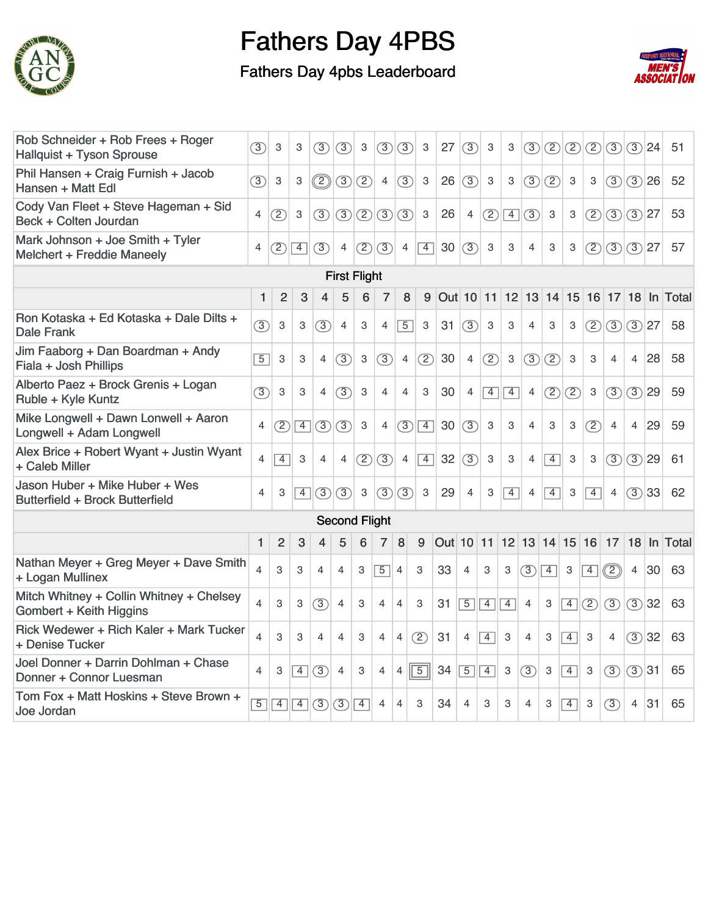

### Fathers Day 4pbs Leaderboard



| Rob Schneider + Rob Frees + Roger<br>Hallquist + Tyson Sprouse      | $\circled{3}$            | 3              | 3              | (3)             | (3)                  | 3                         | (3)            | (3)            | 3              | 27        | (3)            | 3              | 3              | 3                 | (2)            | (2)            | (2)            | (3)                 |                | $(3)$  24 | 51                                            |
|---------------------------------------------------------------------|--------------------------|----------------|----------------|-----------------|----------------------|---------------------------|----------------|----------------|----------------|-----------|----------------|----------------|----------------|-------------------|----------------|----------------|----------------|---------------------|----------------|-----------|-----------------------------------------------|
| Phil Hansen + Craig Furnish + Jacob<br>Hansen + Matt Edl            | $\circled{3}$            | 3              | 3              | $^{\copyright}$ | $\circled{3}$        | (2)                       | $\overline{4}$ | (3)            | 3              | 26        | (3)            | 3              | 3              | (3)               | (2)            | 3              | 3              | (3)                 |                | (3)26     | 52                                            |
| Cody Van Fleet + Steve Hageman + Sid<br>Beck + Colten Jourdan       | 4                        | (2)            | 3              | $\circled{3}$   | (3)                  | (2)                       | (3)            | (3)            | 3              | 26        | $\overline{4}$ | (2)            | $\overline{4}$ | $\circled{3}$     | 3              | 3              | (2)            | (3)                 |                | (3)27     | 53                                            |
| Mark Johnson + Joe Smith + Tyler<br>Melchert + Freddie Maneely      | $\overline{4}$           | (2)            | $\overline{4}$ | $\circled{3}$   | $\overline{4}$       | (2)                       | (3)            | $\overline{4}$ | $\overline{4}$ | 30        | $\sqrt{3}$     | 3              | 3              | $\overline{4}$    | 3              | 3              | (2)            | $\langle 3 $ (3) 27 |                |           | 57                                            |
|                                                                     |                          |                |                |                 | <b>First Flight</b>  |                           |                |                |                |           |                |                |                |                   |                |                |                |                     |                |           |                                               |
|                                                                     | 1                        | $\overline{2}$ | 3              | 4               | 5                    | 6                         | $\overline{7}$ | 8              | 9              | Out 10 11 |                |                |                |                   |                |                |                |                     |                |           | 12   13   14   15   16   17   18   In   Total |
| Ron Kotaska + Ed Kotaska + Dale Dilts +<br><b>Dale Frank</b>        | 3                        | 3              | 3              | (3)             | $\overline{4}$       | 3                         | $\overline{4}$ | $\overline{5}$ | 3              | 31        | (3)            | 3              | 3              | $\overline{4}$    | 3              | 3              | (2)            | $\circled{3}$       |                | $(3)$  27 | 58                                            |
| Jim Faaborg + Dan Boardman + Andy<br>Fiala + Josh Phillips          | $\overline{5}$           | 3              | 3              | $\overline{4}$  | (3)                  | 3                         | (3)            | $\overline{4}$ | (2)            | 30        | $\overline{4}$ | (2)            | $\mathbf{3}$   | (3)               | (2)            | 3              | 3              | $\overline{4}$      | $\overline{4}$ | 28        | 58                                            |
| Alberto Paez + Brock Grenis + Logan<br>Ruble + Kyle Kuntz           | (3)                      | 3              | 3              | $\overline{4}$  | (3)                  | 3                         | $\overline{4}$ | $\overline{4}$ | 3              | 30        | $\overline{4}$ | $\overline{4}$ | $\boxed{4}$    | $\overline{4}$    | (2)            | (2)            | 3              | (3)                 |                | (3)29     | 59                                            |
| Mike Longwell + Dawn Lonwell + Aaron<br>Longwell + Adam Longwell    | 4                        | (2)            | $\overline{4}$ | $\circled{3}$   | (3)                  | 3                         | $\overline{4}$ | (3)            | $\boxed{4}$    | 30        | $\sqrt{3}$     | 3              | 3              | $\overline{4}$    | 3              | 3              | (2)            | $\overline{4}$      | $\overline{4}$ | 29        | 59                                            |
| Alex Brice + Robert Wyant + Justin Wyant<br>+ Caleb Miller          | $\overline{4}$           | $\overline{4}$ | 3              | $\overline{4}$  | $\overline{4}$       | (2)                       | $\circled{3}$  | $\overline{4}$ | $\boxed{4}$    | 32        | (3)            | 3              | 3              | $\overline{4}$    | $\overline{4}$ | 3              | 3              | (3)                 | (3)            | 29        | 61                                            |
| Jason Huber + Mike Huber + Wes<br>Butterfield + Brock Butterfield   | 4                        | 3              | $\overline{4}$ | (3)             | (3)                  | $\ensuremath{\mathsf{3}}$ | (3)            | (3)            | 3              | 29        | $\overline{4}$ | 3              | $\overline{4}$ | $\overline{4}$    | $\overline{4}$ | 3              | $\overline{4}$ | $\overline{4}$      |                | (3)33     | 62                                            |
|                                                                     |                          |                |                |                 | <b>Second Flight</b> |                           |                |                |                |           |                |                |                |                   |                |                |                |                     |                |           |                                               |
|                                                                     | 1                        | $\overline{2}$ | 3              | 4               | 5                    | 6                         | $\overline{7}$ | 8              | 9              | Out 10 11 |                |                |                | 12 13 14 15 16 17 |                |                |                |                     | 18             |           | In Total                                      |
| Nathan Meyer + Greg Meyer + Dave Smith<br>+ Logan Mullinex          | $\overline{4}$           | 3              | 3              | 4               | $\overline{4}$       | 3                         | $\boxed{5}$    | $\overline{4}$ | 3              | 33        | $\overline{4}$ | 3              | 3              | (3)               | $\boxed{4}$    | 3              | $\boxed{4}$    | $\circled{2}$       | $\overline{4}$ | 30        | 63                                            |
| Mitch Whitney + Collin Whitney + Chelsey<br>Gombert + Keith Higgins | $\overline{\mathcal{L}}$ | 3              | 3              | (3)             | $\overline{4}$       | 3                         | $\overline{4}$ | $\overline{4}$ | 3              | 31        | $\overline{5}$ | $\boxed{4}$    | $\boxed{4}$    | $\overline{4}$    | 3              | $\overline{4}$ | (2)            | (3)                 |                | (3)32     | 63                                            |
| Rick Wedewer + Rich Kaler + Mark Tucker<br>+ Denise Tucker          | 4                        | 3              | 3              | 4               | $\overline{4}$       | 3                         | $\overline{4}$ | $\overline{4}$ | (2)            | 31        | $\overline{4}$ | $\boxed{4}$    | 3              | $\overline{4}$    | 3              | $\overline{4}$ | 3              | $\overline{4}$      |                | (3)32     | 63                                            |
| Joel Donner + Darrin Dohlman + Chase<br>Donner + Connor Luesman     | 4                        | 3              | $\overline{4}$ | (3)             | $\overline{4}$       | 3                         | $\overline{4}$ | $\overline{4}$ | $\boxed{5}$    | 34        | $\overline{5}$ | $\overline{4}$ | 3              | (3)               | 3              | $\overline{4}$ | 3              | (3)                 | (3)31          |           | 65                                            |
| Tom Fox + Matt Hoskins + Steve Brown +<br>Joe Jordan                | $\overline{5}$           | $\overline{4}$ | 4              | (3)             | (3)                  | $\sqrt{4}$                | 4              | $\overline{4}$ | 3              | 34        | 4              | 3              | 3              | 4                 | 3              | $\overline{4}$ | 3              | $\circled{3}$       | 4              | 31        | 65                                            |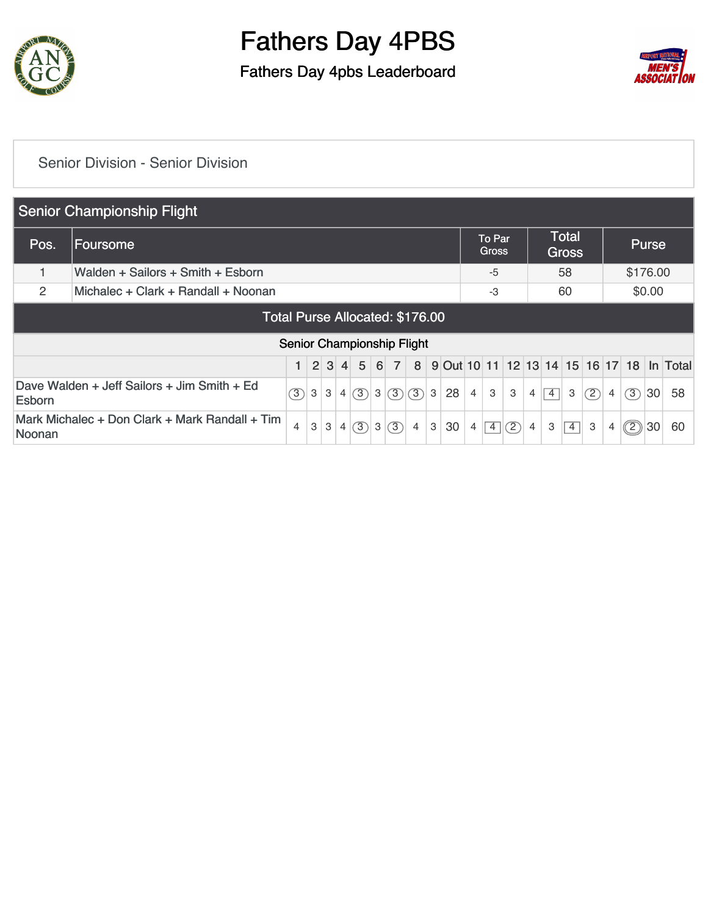

### Fathers Day 4pbs Leaderboard



#### [Senior Division - Senior Division](https://static.golfgenius.com/v2tournaments/8575351855784166261?called_from=&round_index=1)

|               | Senior Championship Flight                     |                |   |     |                |     |                |                |                            |                |    |                |                        |               |                |                |                              |     |                |     |              |                                           |
|---------------|------------------------------------------------|----------------|---|-----|----------------|-----|----------------|----------------|----------------------------|----------------|----|----------------|------------------------|---------------|----------------|----------------|------------------------------|-----|----------------|-----|--------------|-------------------------------------------|
| Pos.          | Foursome                                       |                |   |     |                |     |                |                |                            |                |    |                | To Par<br><b>Gross</b> |               |                |                | <b>Total</b><br><b>Gross</b> |     |                |     | <b>Purse</b> |                                           |
|               | Walden + Sailors + Smith + Esborn              |                |   |     |                |     |                |                |                            |                |    |                | $-5$                   |               |                |                | 58                           |     |                |     | \$176.00     |                                           |
| 2             | Michalec + Clark + Randall + Noonan            |                |   |     |                |     |                |                |                            |                |    |                | $-3$                   |               |                |                | 60                           |     |                |     | \$0.00       |                                           |
|               | Total Purse Allocated: \$176.00                |                |   |     |                |     |                |                |                            |                |    |                |                        |               |                |                |                              |     |                |     |              |                                           |
|               |                                                |                |   |     |                |     |                |                | Senior Championship Flight |                |    |                |                        |               |                |                |                              |     |                |     |              |                                           |
|               |                                                | 1              |   | 2 3 | $\vert$        | 5   | 6              | $\overline{7}$ | 8                          |                |    |                |                        |               |                |                |                              |     |                |     |              | 9 Out 10 11 12 13 14 15 16 17 18 In Total |
| Esborn        | Dave Walden + Jeff Sailors + Jim Smith + Ed    | (3)            | 3 | 3   | $\overline{4}$ | (3) |                | 3(3)           | (3)                        | 3 <sup>1</sup> | 28 | $\overline{4}$ | 3                      | 3             | $\overline{4}$ | $\overline{4}$ | 3                            | (2) | $\overline{4}$ | (3) | 30           | 58                                        |
| <b>Noonan</b> | Mark Michalec + Don Clark + Mark Randall + Tim | $\overline{4}$ | 3 | 3   | 4              | 3)  | 3 <sup>1</sup> | (3)            | $\overline{4}$             | 3              | 30 | 4              | $\overline{4}$         | $\mathcal{D}$ | 4              | 3              | $\overline{4}$               | 3   | 4              | ②   | 30           | 60                                        |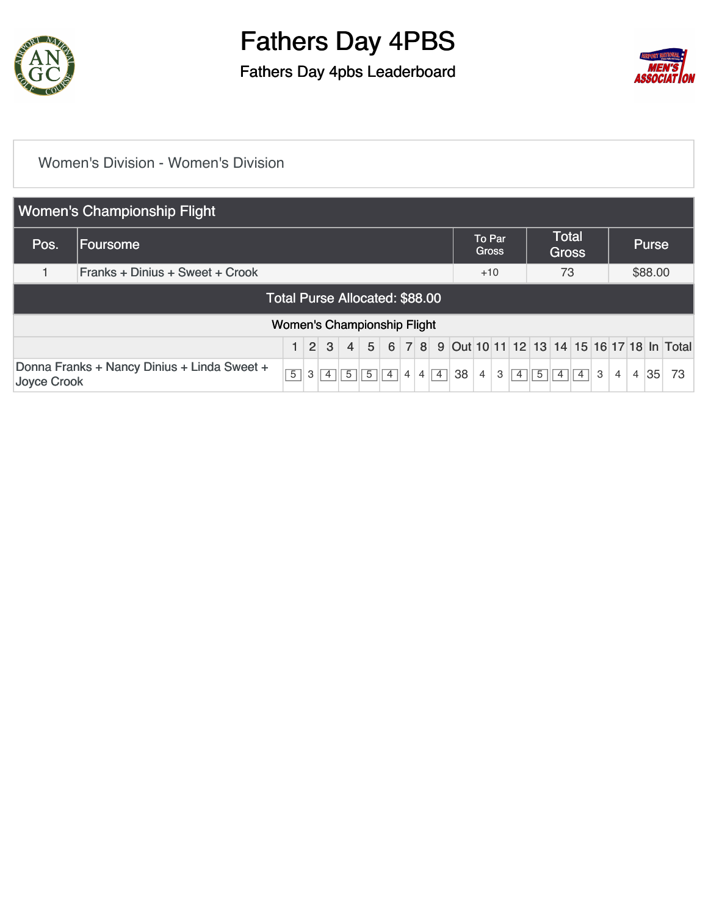

Fathers Day 4pbs Leaderboard



#### [Women's Division - Women's Division](https://static.golfgenius.com/v2tournaments/8575350987932337012?called_from=&round_index=1)

|                                                | <b>Women's Championship Flight</b>          |                                    |   |                 |                |                 |                |                |                |                |    |                        |   |                |                |                              |                |   |                |                |              |                                                 |
|------------------------------------------------|---------------------------------------------|------------------------------------|---|-----------------|----------------|-----------------|----------------|----------------|----------------|----------------|----|------------------------|---|----------------|----------------|------------------------------|----------------|---|----------------|----------------|--------------|-------------------------------------------------|
| Pos.                                           | Foursome                                    |                                    |   |                 |                |                 |                |                |                |                |    | To Par<br><b>Gross</b> |   |                |                | <b>Total</b><br><b>Gross</b> |                |   |                |                | <b>Purse</b> |                                                 |
| Franks + Dinius + Sweet + Crook<br>73<br>$+10$ |                                             |                                    |   |                 |                |                 |                |                |                |                |    |                        |   | \$88.00        |                |                              |                |   |                |                |              |                                                 |
|                                                | Total Purse Allocated: \$88.00              |                                    |   |                 |                |                 |                |                |                |                |    |                        |   |                |                |                              |                |   |                |                |              |                                                 |
|                                                |                                             | <b>Women's Championship Flight</b> |   |                 |                |                 |                |                |                |                |    |                        |   |                |                |                              |                |   |                |                |              |                                                 |
|                                                |                                             | 1 <sup>1</sup>                     |   | $2 \mid 3 \mid$ |                | $4 \mid 5 \mid$ |                |                |                |                |    |                        |   |                |                |                              |                |   |                |                |              | 6 7 8 9 0ut 10 11 12 13 14 15 16 17 18 In Total |
| Joyce Crook                                    | Donna Franks + Nancy Dinius + Linda Sweet + | $\overline{5}$                     | 3 | $\overline{4}$  | $\overline{5}$ | $\overline{5}$  | $\overline{4}$ | $\overline{4}$ | $\overline{4}$ | $\overline{4}$ | 38 | 4                      | 3 | $\overline{4}$ | $\overline{5}$ | $\vert 4 \vert$              | $\overline{4}$ | 3 | $\overline{4}$ | $\overline{4}$ | 35           | 73                                              |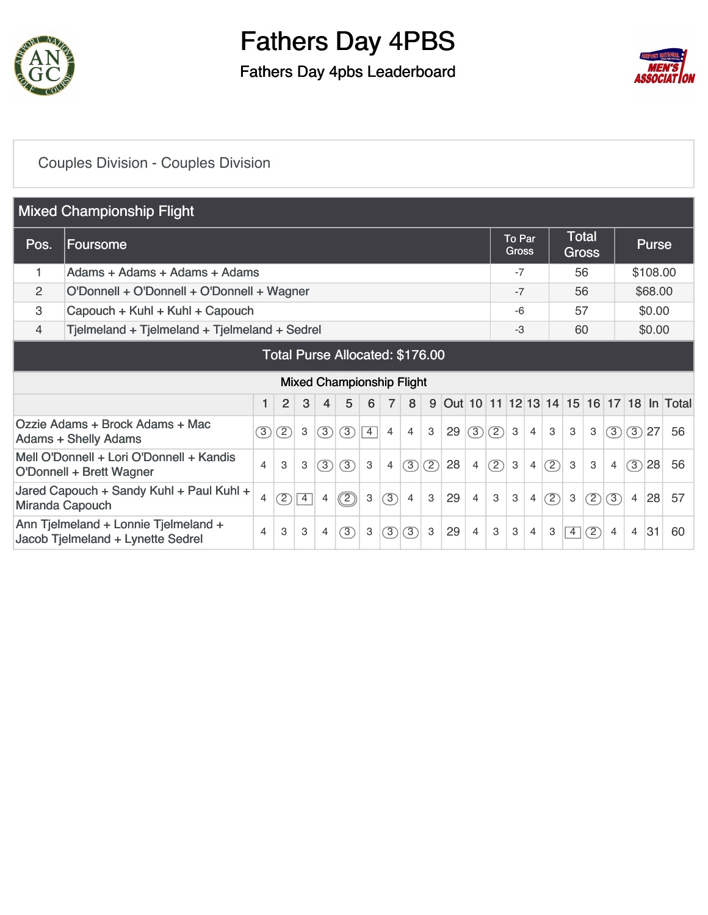

### Fathers Day 4pbs Leaderboard



### [Couples Division - Couples Division](https://static.golfgenius.com/v2tournaments/8575353160481145718?called_from=&round_index=1)

|                | <b>Mixed Championship Flight</b>                                                             |                |                |                |                |                                  |                |                |     |     |    |                |               |                           |                |     |                              |     |                |                |              |                                         |
|----------------|----------------------------------------------------------------------------------------------|----------------|----------------|----------------|----------------|----------------------------------|----------------|----------------|-----|-----|----|----------------|---------------|---------------------------|----------------|-----|------------------------------|-----|----------------|----------------|--------------|-----------------------------------------|
| Pos.           | Foursome                                                                                     |                |                |                |                |                                  |                |                |     |     |    |                |               | To Par<br><b>Gross</b>    |                |     | <b>Total</b><br><b>Gross</b> |     |                |                | <b>Purse</b> |                                         |
|                | Adams + Adams + Adams + Adams                                                                |                |                |                |                |                                  |                |                |     |     |    |                |               | $-7$                      |                |     | 56                           |     |                |                | \$108.00     |                                         |
| $\overline{2}$ | O'Donnell + O'Donnell + O'Donnell + Wagner                                                   |                |                |                |                |                                  |                |                |     |     |    |                |               | $-7$                      |                |     | 56                           |     |                |                | \$68.00      |                                         |
| 3              | Capouch + Kuhl + Kuhl + Capouch                                                              |                |                |                |                |                                  |                |                |     |     |    |                |               | $-6$                      |                |     | 57                           |     |                |                | \$0.00       |                                         |
| 4              | Tjelmeland + Tjelmeland + Tjelmeland + Sedrel                                                |                |                |                |                |                                  |                |                |     |     |    |                |               | $-3$                      |                |     | 60                           |     |                |                | \$0.00       |                                         |
|                | Total Purse Allocated: \$176.00                                                              |                |                |                |                |                                  |                |                |     |     |    |                |               |                           |                |     |                              |     |                |                |              |                                         |
|                |                                                                                              |                |                |                |                | <b>Mixed Championship Flight</b> |                |                |     |     |    |                |               |                           |                |     |                              |     |                |                |              |                                         |
|                |                                                                                              | 1              | $\overline{2}$ | 3              | $\overline{4}$ | 5                                | 6              | $\overline{7}$ | 8   | 9   |    |                |               |                           |                |     |                              |     |                |                |              | Out 10 11 12 13 14 15 16 17 18 In Total |
|                | Ozzie Adams + Brock Adams + Mac<br><b>Adams + Shelly Adams</b>                               | $\circled{3}$  | (2)            | 3              | (3)            | (3)                              | $\overline{4}$ | 4              | 4   | 3   | 29 | (3)            | (2)           | 3                         | $\overline{4}$ | 3   | 3                            | 3   | (3)            | (3)            | 27           | 56                                      |
|                | Mell O'Donnell + Lori O'Donnell + Kandis<br>O'Donnell + Brett Wagner                         | $\overline{4}$ | 3              | 3              | $\circled{3}$  | 3                                | $\mathbf{3}$   | 4              | (3) | (2) | 28 | $\overline{4}$ | $\circled{2}$ | $\ensuremath{\mathsf{3}}$ | $\overline{4}$ | (2) | 3                            | 3   | $\overline{4}$ | (3)            | 28           | 56                                      |
|                | Jared Capouch + Sandy Kuhl + Paul Kuhl +                                                     | 4              | (2)            | $\overline{4}$ | $\overline{4}$ | $\circled{2}$                    | 3              | $\circled{3}$  | 4   | 3   | 29 | $\overline{4}$ | 3             | 3                         | $\overline{4}$ | (2) | 3                            | (2) | 3              | $\overline{4}$ | 28           | 57                                      |
|                | Miranda Capouch<br>Ann Tjelmeland + Lonnie Tjelmeland +<br>Jacob Tjelmeland + Lynette Sedrel |                |                |                | $\overline{4}$ | 3                                | 3              | $\circled{3}$  | 3   | 3   | 29 | 4              | 3             | 3                         | $\overline{4}$ | 3   | $\overline{4}$               | (2) | $\overline{4}$ | $\overline{4}$ | 31           | 60                                      |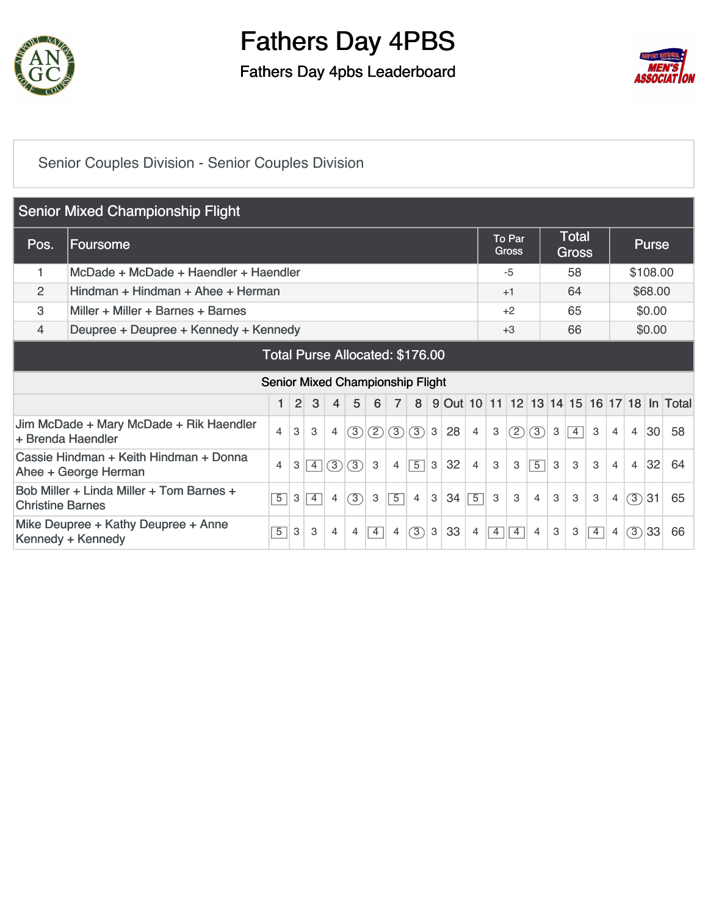

Fathers Day 4pbs Leaderboard



### [Senior Couples Division - Senior Couples Division](https://static.golfgenius.com/v2tournaments/8575354234491405175?called_from=&round_index=1)

|      | <b>Senior Mixed Championship Flight</b>                                                                                                              |                |                |   |                                         |                |                |                |                  |   |    |                |   |                        |                |   |                              |   |                |                |              |                                         |
|------|------------------------------------------------------------------------------------------------------------------------------------------------------|----------------|----------------|---|-----------------------------------------|----------------|----------------|----------------|------------------|---|----|----------------|---|------------------------|----------------|---|------------------------------|---|----------------|----------------|--------------|-----------------------------------------|
| Pos. | Foursome                                                                                                                                             |                |                |   |                                         |                |                |                |                  |   |    |                |   | To Par<br><b>Gross</b> |                |   | <b>Total</b><br><b>Gross</b> |   |                |                | <b>Purse</b> |                                         |
|      | McDade + McDade + Haendler + Haendler                                                                                                                |                |                |   |                                         |                |                |                |                  |   |    |                |   | $-5$                   |                |   | 58                           |   |                |                | \$108.00     |                                         |
| 2    | Hindman + Hindman + Ahee + Herman                                                                                                                    |                |                |   |                                         |                |                |                |                  |   |    |                |   | $+1$                   |                |   | 64                           |   |                |                | \$68.00      |                                         |
| 3    | Miller + Miller + Barnes + Barnes                                                                                                                    |                |                |   |                                         |                |                |                |                  |   |    |                |   | $+2$                   |                |   | 65                           |   |                |                | \$0.00       |                                         |
| 4    | 66<br>Deupree + Deupree + Kennedy + Kennedy<br>\$0.00<br>$+3$                                                                                        |                |                |   |                                         |                |                |                |                  |   |    |                |   |                        |                |   |                              |   |                |                |              |                                         |
|      | Total Purse Allocated: \$176.00                                                                                                                      |                |                |   |                                         |                |                |                |                  |   |    |                |   |                        |                |   |                              |   |                |                |              |                                         |
|      |                                                                                                                                                      |                |                |   | <b>Senior Mixed Championship Flight</b> |                |                |                |                  |   |    |                |   |                        |                |   |                              |   |                |                |              |                                         |
|      |                                                                                                                                                      | 1              | $\overline{2}$ | 3 | 4                                       | 5              | 6              | $\overline{7}$ | 8                | 9 |    |                |   |                        |                |   |                              |   |                |                |              | Out 10 11 12 13 14 15 16 17 18 In Total |
|      | Jim McDade + Mary McDade + Rik Haendler<br>+ Brenda Haendler                                                                                         | $\overline{4}$ | 3              | 3 | $\overline{4}$                          | (3)            | (2)            | (3)            | (3)              | 3 | 28 | $\overline{4}$ | 3 | (2)                    | (3)            | 3 | $\overline{4}$               | 3 | $\overline{4}$ | $\overline{4}$ | 30           | 58                                      |
|      | Cassie Hindman + Keith Hindman + Donna<br>(3)<br>(3)<br>3<br>$\overline{4}$<br>$\overline{4}$<br>Ahee + George Herman                                |                |                |   |                                         |                |                |                |                  |   | 32 | 4              | 3 | 3                      | $\overline{5}$ | 3 | 3                            | 3 | $\overline{4}$ | $\overline{4}$ | 32           | 64                                      |
|      | Bob Miller + Linda Miller + Tom Barnes +<br>$\circled{3}$<br>$\overline{5}$<br>3<br>$\overline{4}$<br>3<br>$\overline{4}$<br><b>Christine Barnes</b> |                |                |   |                                         |                |                |                | $\overline{4}$   | 3 | 34 | $\overline{5}$ | 3 | 3                      | 4              | 3 | 3                            | 3 | $\overline{4}$ | (3)            | 31           | 65                                      |
|      | Mike Deupree + Kathy Deupree + Anne<br>Kennedy + Kennedy                                                                                             | $\overline{5}$ | 3              | 3 | $\overline{4}$                          | $\overline{4}$ | $\overline{4}$ | $\overline{4}$ | $\left(3\right)$ | 3 | 33 | 4              | 4 | $\overline{4}$         | 4              | 3 | 3                            | 4 | $\overline{4}$ | (3)            | 33           | 66                                      |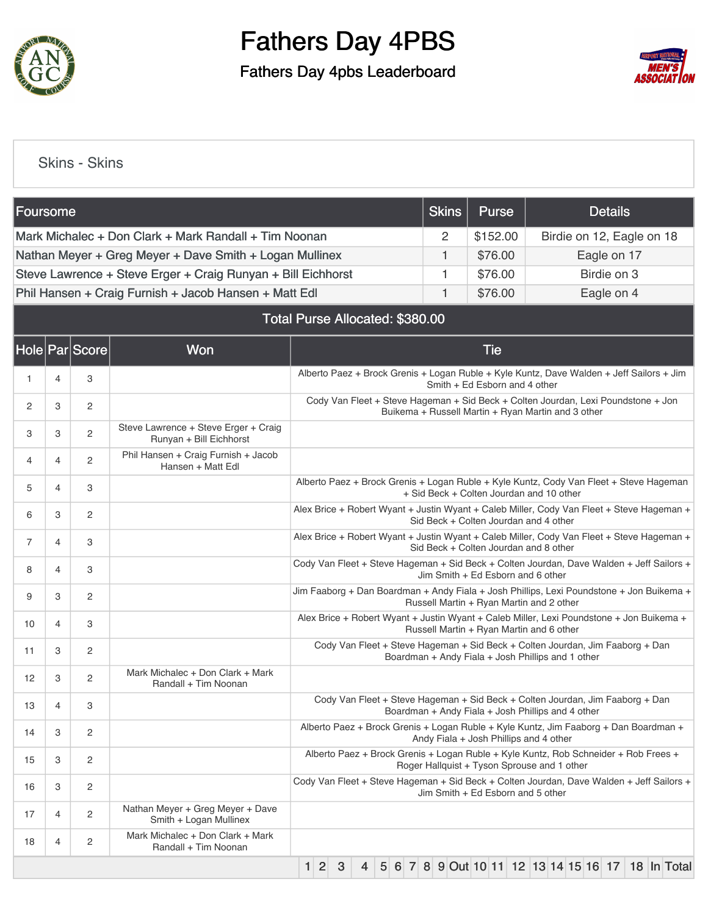

Fathers Day 4pbs Leaderboard



### [Skins - Skins](https://static.golfgenius.com/v2tournaments/8575355383697146744?called_from=&round_index=1)

| Foursome |   |                |                                                                 |                                                                                                                                    |     |   |   |  |  | <b>Skins</b>                                       |  |            | <b>Purse</b>                  |  |  |  | <b>Details</b>                                                                            |             |  |
|----------|---|----------------|-----------------------------------------------------------------|------------------------------------------------------------------------------------------------------------------------------------|-----|---|---|--|--|----------------------------------------------------|--|------------|-------------------------------|--|--|--|-------------------------------------------------------------------------------------------|-------------|--|
|          |   |                | Mark Michalec + Don Clark + Mark Randall + Tim Noonan           |                                                                                                                                    |     |   |   |  |  | 2                                                  |  |            | \$152.00                      |  |  |  | Birdie on 12, Eagle on 18                                                                 |             |  |
|          |   |                | Nathan Meyer + Greg Meyer + Dave Smith + Logan Mullinex         |                                                                                                                                    |     |   |   |  |  | 1                                                  |  |            | \$76.00                       |  |  |  | Eagle on 17                                                                               |             |  |
|          |   |                | Steve Lawrence + Steve Erger + Craig Runyan + Bill Eichhorst    |                                                                                                                                    |     |   |   |  |  | 1                                                  |  |            | \$76.00                       |  |  |  | Birdie on 3                                                                               |             |  |
|          |   |                | Phil Hansen + Craig Furnish + Jacob Hansen + Matt Edl           |                                                                                                                                    |     |   |   |  |  | 1                                                  |  |            | \$76.00                       |  |  |  | Eagle on 4                                                                                |             |  |
|          |   |                |                                                                 |                                                                                                                                    |     |   |   |  |  | Total Purse Allocated: \$380.00                    |  |            |                               |  |  |  |                                                                                           |             |  |
|          |   | Hole Par Score | Won                                                             |                                                                                                                                    |     |   |   |  |  |                                                    |  | <b>Tie</b> |                               |  |  |  |                                                                                           |             |  |
| 1        | 4 | 3              |                                                                 |                                                                                                                                    |     |   |   |  |  |                                                    |  |            | Smith + Ed Esborn and 4 other |  |  |  | Alberto Paez + Brock Grenis + Logan Ruble + Kyle Kuntz, Dave Walden + Jeff Sailors + Jim  |             |  |
| 2        | 3 | 2              |                                                                 |                                                                                                                                    |     |   |   |  |  | Buikema + Russell Martin + Ryan Martin and 3 other |  |            |                               |  |  |  | Cody Van Fleet + Steve Hageman + Sid Beck + Colten Jourdan, Lexi Poundstone + Jon         |             |  |
| 3        | 3 | 2              | Steve Lawrence + Steve Erger + Craig<br>Runyan + Bill Eichhorst |                                                                                                                                    |     |   |   |  |  |                                                    |  |            |                               |  |  |  |                                                                                           |             |  |
| 4        | 4 | 2              | Phil Hansen + Craig Furnish + Jacob<br>Hansen + Matt Edl        |                                                                                                                                    |     |   |   |  |  |                                                    |  |            |                               |  |  |  |                                                                                           |             |  |
| 5        | 4 | 3              |                                                                 | Alberto Paez + Brock Grenis + Logan Ruble + Kyle Kuntz, Cody Van Fleet + Steve Hageman<br>+ Sid Beck + Colten Jourdan and 10 other |     |   |   |  |  |                                                    |  |            |                               |  |  |  |                                                                                           |             |  |
| 6        | 3 | 2              |                                                                 | Alex Brice + Robert Wyant + Justin Wyant + Caleb Miller, Cody Van Fleet + Steve Hageman +<br>Sid Beck + Colten Jourdan and 4 other |     |   |   |  |  |                                                    |  |            |                               |  |  |  |                                                                                           |             |  |
| 7        | 4 | 3              |                                                                 |                                                                                                                                    |     |   |   |  |  | Sid Beck + Colten Jourdan and 8 other              |  |            |                               |  |  |  | Alex Brice + Robert Wyant + Justin Wyant + Caleb Miller, Cody Van Fleet + Steve Hageman + |             |  |
| 8        | 4 | 3              |                                                                 |                                                                                                                                    |     |   |   |  |  | Jim Smith + Ed Esborn and 6 other                  |  |            |                               |  |  |  | Cody Van Fleet + Steve Hageman + Sid Beck + Colten Jourdan, Dave Walden + Jeff Sailors +  |             |  |
| 9        | 3 | 2              |                                                                 |                                                                                                                                    |     |   |   |  |  | Russell Martin + Ryan Martin and 2 other           |  |            |                               |  |  |  | Jim Faaborg + Dan Boardman + Andy Fiala + Josh Phillips, Lexi Poundstone + Jon Buikema +  |             |  |
| 10       | 4 | 3              |                                                                 |                                                                                                                                    |     |   |   |  |  | Russell Martin + Ryan Martin and 6 other           |  |            |                               |  |  |  | Alex Brice + Robert Wyant + Justin Wyant + Caleb Miller, Lexi Poundstone + Jon Buikema +  |             |  |
| 11       | 3 | 2              |                                                                 |                                                                                                                                    |     |   |   |  |  | Boardman + Andy Fiala + Josh Phillips and 1 other  |  |            |                               |  |  |  | Cody Van Fleet + Steve Hageman + Sid Beck + Colten Jourdan, Jim Faaborg + Dan             |             |  |
| 12       | 3 | 2              | Mark Michalec + Don Clark + Mark<br>Randall + Tim Noonan        |                                                                                                                                    |     |   |   |  |  |                                                    |  |            |                               |  |  |  |                                                                                           |             |  |
| 13       | 4 | 3              |                                                                 |                                                                                                                                    |     |   |   |  |  | Boardman + Andy Fiala + Josh Phillips and 4 other  |  |            |                               |  |  |  | Cody Van Fleet + Steve Hageman + Sid Beck + Colten Jourdan, Jim Faaborg + Dan             |             |  |
| 14       | 3 | 2              |                                                                 |                                                                                                                                    |     |   |   |  |  | Andy Fiala + Josh Phillips and 4 other             |  |            |                               |  |  |  | Alberto Paez + Brock Grenis + Logan Ruble + Kyle Kuntz, Jim Faaborg + Dan Boardman +      |             |  |
| 15       | 3 | 2              |                                                                 |                                                                                                                                    |     |   |   |  |  | Roger Hallquist + Tyson Sprouse and 1 other        |  |            |                               |  |  |  | Alberto Paez + Brock Grenis + Logan Ruble + Kyle Kuntz, Rob Schneider + Rob Frees +       |             |  |
| 16       | 3 | 2              |                                                                 |                                                                                                                                    |     |   |   |  |  | Jim Smith + Ed Esborn and 5 other                  |  |            |                               |  |  |  | Cody Van Fleet + Steve Hageman + Sid Beck + Colten Jourdan, Dave Walden + Jeff Sailors +  |             |  |
| 17       | 4 | 2              | Nathan Meyer + Greg Meyer + Dave<br>Smith + Logan Mullinex      |                                                                                                                                    |     |   |   |  |  |                                                    |  |            |                               |  |  |  |                                                                                           |             |  |
| 18       | 4 | 2              | Mark Michalec + Don Clark + Mark<br>Randall + Tim Noonan        |                                                                                                                                    |     |   |   |  |  |                                                    |  |            |                               |  |  |  |                                                                                           |             |  |
|          |   |                |                                                                 |                                                                                                                                    | 1 2 | 3 | 4 |  |  |                                                    |  |            |                               |  |  |  | 5 6 7 8 9 Out 10 11 12 13 14 15 16 17                                                     | 18 In Total |  |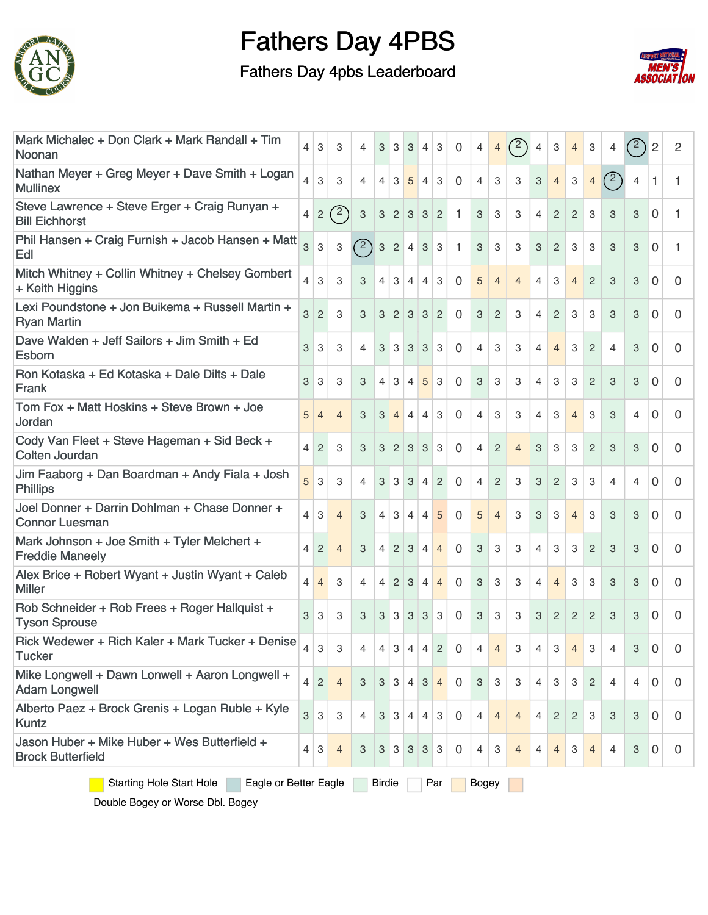

### Fathers Day 4pbs Leaderboard



| Noonan                   | Mark Michalec + Don Clark + Mark Randall + Tim           |  | 4              | 3              | 3              | 4                         | 3              | 3              | 3                         | $\overline{4}$            | 3                | 0            | 4                         | $\overline{4}$ | $\binom{2}{ }$ | 4              | 3                        | $\overline{4}$            | 3              | 4              | $^{\prime}$ <sup>2</sup> | 2              | 2        |
|--------------------------|----------------------------------------------------------|--|----------------|----------------|----------------|---------------------------|----------------|----------------|---------------------------|---------------------------|------------------|--------------|---------------------------|----------------|----------------|----------------|--------------------------|---------------------------|----------------|----------------|--------------------------|----------------|----------|
| <b>Mullinex</b>          | Nathan Meyer + Greg Meyer + Dave Smith + Logan           |  | 4              | 3              | 3              | $\overline{4}$            | 4              | 3              | 5                         | $\overline{4}$            | 3                | 0            | $\overline{4}$            | 3              | 3              | 3              | $\overline{4}$           | $\,3$                     | $\overline{4}$ | (2)            | $\overline{4}$           | 1              | 1        |
| <b>Bill Eichhorst</b>    | Steve Lawrence + Steve Erger + Craig Runyan +            |  | 4              | $\overline{2}$ | $\binom{2}{ }$ | $\ensuremath{\mathsf{3}}$ | 3              | $\overline{2}$ | $\ensuremath{\mathsf{3}}$ | 3                         | $\overline{c}$   | $\mathbf{1}$ | 3                         | 3              | 3              | $\overline{4}$ | $\overline{c}$           | $\overline{2}$            | 3              | 3              | 3                        | 0              | 1        |
| Edl                      | Phil Hansen + Craig Furnish + Jacob Hansen + Matt        |  | 3              | 3              | 3              | (2)                       | 3              | $\overline{c}$ | 4                         | $\ensuremath{\mathsf{3}}$ | 3                | 1            | 3                         | 3              | 3              | 3              | 2                        | 3                         | 3              | 3              | 3                        | 0              | 1        |
| + Keith Higgins          | Mitch Whitney + Collin Whitney + Chelsey Gombert         |  | $\overline{4}$ | 3              | 3              | 3                         | 4              | 3              | 4                         | 4                         | 3                | 0            | 5                         | $\overline{4}$ | 4              | 4              | 3                        | $\overline{4}$            | $\overline{2}$ | 3              | 3                        | $\Omega$       | 0        |
| <b>Ryan Martin</b>       | Lexi Poundstone + Jon Buikema + Russell Martin +         |  | 3              | 2              | 3              | 3                         | 3              | $\overline{2}$ | 3                         | 3                         | $\overline{2}$   | 0            | 3                         | $\overline{2}$ | 3              | 4              | $\overline{2}$           | 3                         | 3              | 3              | 3                        | $\Omega$       | 0        |
| Esborn                   | Dave Walden + Jeff Sailors + Jim Smith + Ed              |  | 3              | 3              | 3              | $\overline{4}$            | 3              | 3              | 3                         | 3                         | 3                | 0            | $\overline{4}$            | 3              | 3              | 4              | $\overline{4}$           | 3                         | $\overline{2}$ | $\overline{4}$ | 3                        | $\Omega$       | 0        |
| Frank                    | Ron Kotaska + Ed Kotaska + Dale Dilts + Dale             |  | 3              | 3              | 3              | 3                         | 4              | 3              | $\overline{4}$            | 5                         | 3                | 0            | 3                         | 3              | 3              | 4              | 3                        | 3                         | 2              | 3              | 3                        | 0              | 0        |
| Jordan                   | Tom Fox + Matt Hoskins + Steve Brown + Joe               |  | 5              | 4              | $\overline{4}$ | 3                         | 3              | $\overline{4}$ | $\overline{4}$            | $\overline{4}$            | 3                | $\mathbf{0}$ | $\overline{4}$            | 3              | 3              | 4              | 3                        | $\overline{4}$            | 3              | 3              | 4                        | 0              | 0        |
| <b>Colten Jourdan</b>    | Cody Van Fleet + Steve Hageman + Sid Beck +              |  | 4              | 2              | 3              | 3                         | 3              | $\overline{2}$ | 3                         | 3                         | 3                | 0            | 4                         | $\overline{c}$ | $\overline{4}$ | 3              | 3                        | 3                         | $\overline{2}$ | 3              | 3                        | 0              | 0        |
| <b>Phillips</b>          | Jim Faaborg + Dan Boardman + Andy Fiala + Josh           |  | 5              | 3              | 3              | $\overline{4}$            | 3              | 3              | 3                         | $\overline{4}$            | $\overline{2}$   | 0            | $\overline{4}$            | $\sqrt{2}$     | 3              | 3              | 2                        | 3                         | 3              | 4              | 4                        | 0              | 0        |
| <b>Connor Luesman</b>    | Joel Donner + Darrin Dohlman + Chase Donner +            |  | 4              | 3              | $\overline{4}$ | 3                         | 4              | 3              | $\overline{4}$            | 4                         | 5                | 0            | 5                         | $\overline{4}$ | 3              | 3              | 3                        | 4                         | 3              | 3              | 3                        | $\Omega$       | 0        |
| <b>Freddie Maneely</b>   | Mark Johnson + Joe Smith + Tyler Melchert +              |  | 4              | 2              | $\overline{4}$ | 3                         | 4              | $\overline{2}$ | 3                         | $\overline{4}$            | $\overline{4}$   | $\mathbf{0}$ | 3                         | 3              | 3              | 4              | 3                        | 3                         | 2              | 3              | 3                        | 0              | 0        |
| <b>Miller</b>            | Alex Brice + Robert Wyant + Justin Wyant + Caleb         |  | 4              | $\overline{4}$ | 3              | $\overline{4}$            | 4              | $\overline{2}$ | 3                         | $\overline{4}$            | $\overline{4}$   | $\mathbf{0}$ | 3                         | 3              | 3              | 4              | $\overline{\mathcal{L}}$ | 3                         | 3              | 3              | 3                        | $\Omega$       | 0        |
| <b>Tyson Sprouse</b>     | Rob Schneider + Rob Frees + Roger Hallquist +            |  | 3              | 3              | 3              | 3                         | 3              | 3              | 3                         | 3                         | 3                | 0            | 3                         | 3              | 3              | 3              | 2                        | 2                         | $\overline{2}$ | 3              | 3                        | 0              | 0        |
| <b>Tucker</b>            | Rick Wedewer + Rich Kaler + Mark Tucker + Denise         |  | 4              | 3              | 3              | 4                         | 4 <sup>1</sup> | 3              | $\overline{4}$            |                           | $4 \overline{2}$ | $\Omega$     | $\overline{4}$            | $\overline{4}$ | 3              | 4              | 3                        | $\overline{4}$            | 3              | $\overline{4}$ | 3                        | 0 <sup>1</sup> | $\Omega$ |
| <b>Adam Longwell</b>     | Mike Longwell + Dawn Lonwell + Aaron Longwell +          |  | $\overline{4}$ | $\overline{c}$ | $\overline{4}$ | 3                         | 3              | 3              | $\overline{4}$            | 3                         | $\overline{4}$   | $\mathbf 0$  | $\ensuremath{\mathsf{3}}$ | 3              | 3              | 4              | 3                        | 3                         | 2              | $\overline{4}$ | 4                        | 0              | 0        |
| Kuntz                    | Alberto Paez + Brock Grenis + Logan Ruble + Kyle         |  | 3              | 3              | 3              | $\overline{4}$            | 3              | 3              | $\overline{4}$            | $\overline{4}$            | 3                | $\mathbf 0$  | $\overline{4}$            | $\overline{4}$ | $\overline{4}$ | $\overline{4}$ | $\overline{2}$           | 2                         | 3              | 3              | 3                        | $\Omega$       | 0        |
| <b>Brock Butterfield</b> | Jason Huber + Mike Huber + Wes Butterfield +             |  | 4              | $\mathbf{3}$   | $\overline{4}$ | 3                         | 3              | 3              | 3                         | $\mathbf{3}$              | $\vert 3 \vert$  | $\mathbf 0$  | 4                         | 3              | $\overline{4}$ | 4              | $\overline{4}$           | $\ensuremath{\mathsf{3}}$ | $\overline{4}$ | $\overline{4}$ | 3                        | $\mathbf 0$    | 0        |
|                          | <b>Starting Hole Start Hole</b><br>Eagle or Better Eagle |  |                |                |                |                           |                |                |                           |                           | Par              |              | Bogey                     |                |                |                |                          |                           |                |                |                          |                |          |

Double Bogey or Worse Dbl. Bogey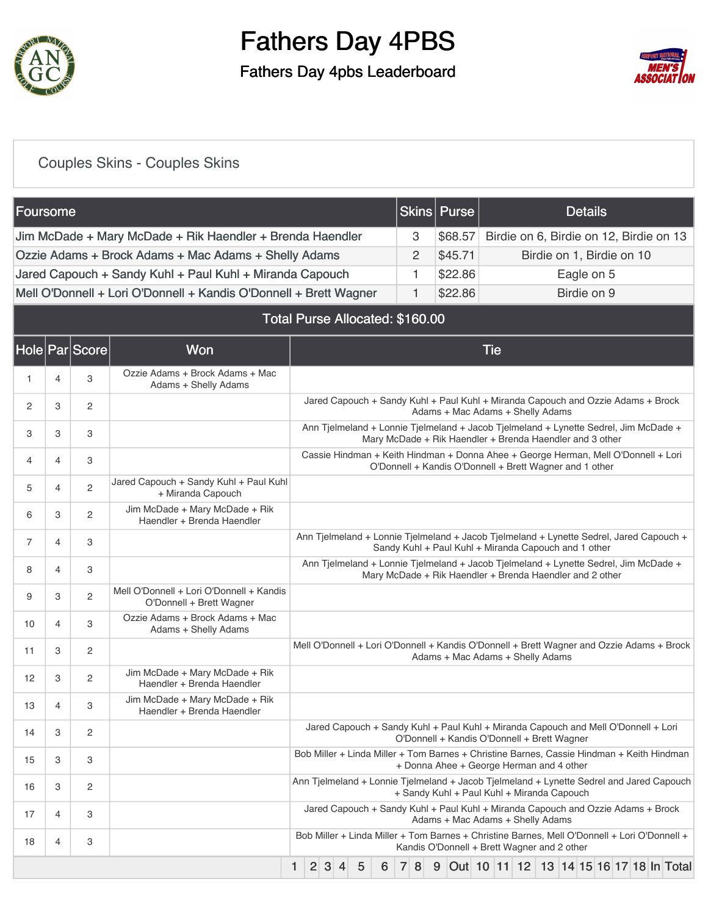

### Fathers Day 4pbs Leaderboard



### [Couples Skins - Couples Skins](https://static.golfgenius.com/v2tournaments/8575356311208756089?called_from=&round_index=1)

| Foursome                                                          |   | Skins   Purse | <b>Details</b>                          |
|-------------------------------------------------------------------|---|---------------|-----------------------------------------|
|                                                                   |   |               |                                         |
| Jim McDade + Mary McDade + Rik Haendler + Brenda Haendler         | 3 | \$68.57       | Birdie on 6, Birdie on 12, Birdie on 13 |
| Ozzie Adams + Brock Adams + Mac Adams + Shelly Adams              |   | \$45.71       | Birdie on 1, Birdie on 10               |
| Jared Capouch + Sandy Kuhl + Paul Kuhl + Miranda Capouch          |   | \$22.86       | Eagle on 5                              |
| Mell O'Donnell + Lori O'Donnell + Kandis O'Donnell + Brett Wagner |   | \$22.86       | Birdie on 9                             |

#### Total Purse Allocated: \$160.00

|    |   | Hole Par Score | Won                                                                  | <b>Tie</b>                                                                                                                                       |
|----|---|----------------|----------------------------------------------------------------------|--------------------------------------------------------------------------------------------------------------------------------------------------|
| 1  | 4 | 3              | Ozzie Adams + Brock Adams + Mac<br>Adams + Shelly Adams              |                                                                                                                                                  |
| 2  | 3 | $\overline{c}$ |                                                                      | Jared Capouch + Sandy Kuhl + Paul Kuhl + Miranda Capouch and Ozzie Adams + Brock<br>Adams + Mac Adams + Shelly Adams                             |
| 3  | 3 | 3              |                                                                      | Ann Tjelmeland + Lonnie Tjelmeland + Jacob Tjelmeland + Lynette Sedrel, Jim McDade +<br>Mary McDade + Rik Haendler + Brenda Haendler and 3 other |
| 4  | 4 | 3              |                                                                      | Cassie Hindman + Keith Hindman + Donna Ahee + George Herman, Mell O'Donnell + Lori<br>O'Donnell + Kandis O'Donnell + Brett Wagner and 1 other    |
| 5  | 4 | $\overline{c}$ | Jared Capouch + Sandy Kuhl + Paul Kuhl<br>+ Miranda Capouch          |                                                                                                                                                  |
| 6  | 3 | $\overline{2}$ | Jim McDade + Mary McDade + Rik<br>Haendler + Brenda Haendler         |                                                                                                                                                  |
| 7  | 4 | 3              |                                                                      | Ann Tjelmeland + Lonnie Tjelmeland + Jacob Tjelmeland + Lynette Sedrel, Jared Capouch +<br>Sandy Kuhl + Paul Kuhl + Miranda Capouch and 1 other  |
| 8  | 4 | 3              |                                                                      | Ann Tjelmeland + Lonnie Tjelmeland + Jacob Tjelmeland + Lynette Sedrel, Jim McDade +<br>Mary McDade + Rik Haendler + Brenda Haendler and 2 other |
| 9  | 3 | 2              | Mell O'Donnell + Lori O'Donnell + Kandis<br>O'Donnell + Brett Wagner |                                                                                                                                                  |
| 10 | 4 | 3              | Ozzie Adams + Brock Adams + Mac<br>Adams + Shelly Adams              |                                                                                                                                                  |
| 11 | 3 | 2              |                                                                      | Mell O'Donnell + Lori O'Donnell + Kandis O'Donnell + Brett Wagner and Ozzie Adams + Brock<br>Adams + Mac Adams + Shelly Adams                    |
| 12 | 3 | 2              | Jim McDade + Mary McDade + Rik<br>Haendler + Brenda Haendler         |                                                                                                                                                  |
| 13 | 4 | 3              | Jim McDade + Mary McDade + Rik<br>Haendler + Brenda Haendler         |                                                                                                                                                  |
| 14 | 3 | 2              |                                                                      | Jared Capouch + Sandy Kuhl + Paul Kuhl + Miranda Capouch and Mell O'Donnell + Lori<br>O'Donnell + Kandis O'Donnell + Brett Wagner                |
| 15 | 3 | 3              |                                                                      | Bob Miller + Linda Miller + Tom Barnes + Christine Barnes, Cassie Hindman + Keith Hindman<br>+ Donna Ahee + George Herman and 4 other            |
| 16 | 3 | 2              |                                                                      | Ann Tjelmeland + Lonnie Tjelmeland + Jacob Tjelmeland + Lynette Sedrel and Jared Capouch<br>+ Sandy Kuhl + Paul Kuhl + Miranda Capouch           |
| 17 | 4 | 3              |                                                                      | Jared Capouch + Sandy Kuhl + Paul Kuhl + Miranda Capouch and Ozzie Adams + Brock<br>Adams + Mac Adams + Shelly Adams                             |
| 18 | 4 | 3              |                                                                      | Bob Miller + Linda Miller + Tom Barnes + Christine Barnes, Mell O'Donnell + Lori O'Donnell +<br>Kandis O'Donnell + Brett Wagner and 2 other      |
|    |   |                |                                                                      | 2 3 <br>5<br>6<br>7 8<br>9 Out 10 11 12 13 14 15 16 17 18 In Total<br>$\vert$<br>1.                                                              |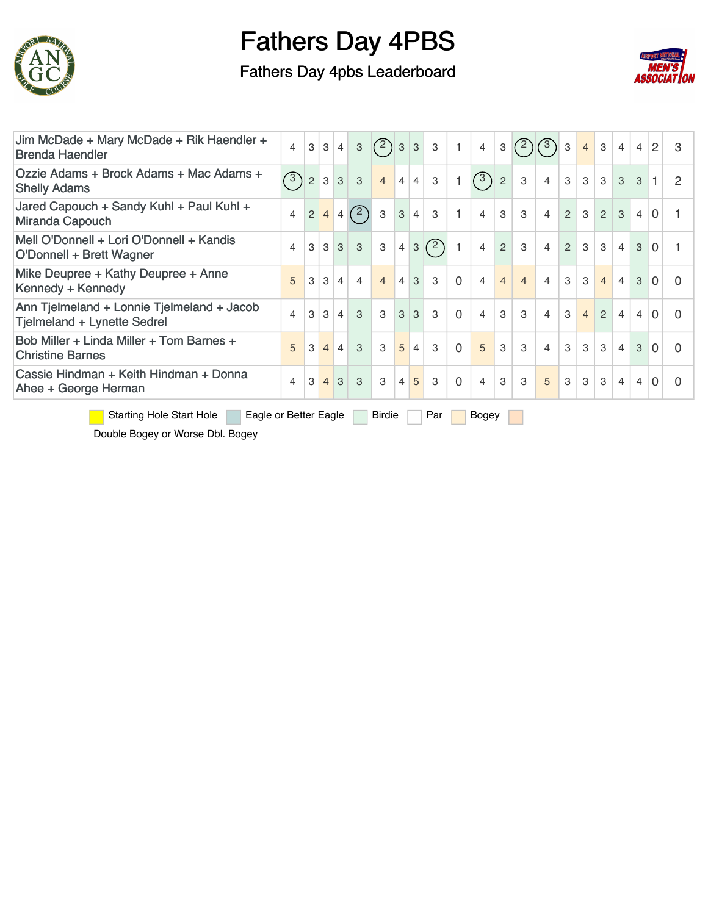

### Fathers Day 4pbs Leaderboard



| Jim McDade + Mary McDade + Rik Haendler +<br><b>Brenda Haendler</b>                       | $\overline{4}$           | 3 | $\mathbf{3}$   | $\overline{4}$ | 3              | (2)            | 3              | 3              | 3             |                | $\overline{4}$ | 3              | $^{\prime}$ 2) | (3)            | 3              | $\overline{4}$ | 3              | 4              | 4 | 2              | 3 |
|-------------------------------------------------------------------------------------------|--------------------------|---|----------------|----------------|----------------|----------------|----------------|----------------|---------------|----------------|----------------|----------------|----------------|----------------|----------------|----------------|----------------|----------------|---|----------------|---|
| Ozzie Adams + Brock Adams + Mac Adams +<br><b>Shelly Adams</b>                            | $\circled{3}$            | 2 | 3              | 3 <sup>1</sup> | 3              | $\overline{4}$ | $\overline{4}$ | $\overline{4}$ | 3             |                | $\circ$        | 2              | 3              | $\overline{4}$ | 3              | 3              | 3 <sup>1</sup> | 3              | 3 |                |   |
| Jared Capouch + Sandy Kuhl + Paul Kuhl +<br>Miranda Capouch                               | $\overline{4}$           | 2 | $\overline{4}$ | $\overline{4}$ | (2)            | 3              | 3              | $\overline{4}$ | 3             |                | $\overline{4}$ | 3              | 3              | $\overline{4}$ | $\mathcal{P}$  | $\mathcal{S}$  | 2              | $\mathcal{S}$  | 4 | $\Omega$       |   |
| Mell O'Donnell + Lori O'Donnell + Kandis<br>O'Donnell + Brett Wagner                      | $\overline{\mathcal{L}}$ | 3 | 3              | 3              | 3              | 3              | 4              | 3              | $\mathcal{D}$ |                | $\overline{4}$ | $\overline{2}$ | 3              | $\overline{4}$ | $\overline{2}$ | $\mathcal{S}$  | 3 <sup>1</sup> | $\overline{4}$ | 3 | $\overline{0}$ |   |
| Mike Deupree + Kathy Deupree + Anne<br>Kennedy + Kennedy                                  | 5                        | 3 | 3              | $\overline{4}$ | $\overline{4}$ | $\overline{4}$ | 4              | 3              | 3             | $\Omega$       | $\overline{4}$ | $\overline{4}$ | $\overline{4}$ | $\overline{4}$ | 3              | 3              | $\overline{4}$ | $\overline{4}$ | 3 | $\mathbf 0$    |   |
| Ann Tjelmeland + Lonnie Tjelmeland + Jacob<br>Tjelmeland + Lynette Sedrel                 | 4                        | 3 | 3              | $\overline{4}$ | 3              | 3              | 3              | 3              | 3             | $\Omega$       | $\overline{4}$ | 3              | 3              | $\overline{4}$ | $\mathcal{S}$  | 4 <sup>1</sup> | $\mathcal{P}$  | $\overline{4}$ | 4 | $\Omega$       |   |
| Bob Miller + Linda Miller + Tom Barnes +<br><b>Christine Barnes</b>                       | 5                        | 3 | $\overline{4}$ | $\overline{4}$ | 3              | 3              | 5              | $\overline{4}$ | 3             | $\overline{0}$ | $\overline{5}$ | 3              | 3              | $\overline{4}$ | 3              | $\mathcal{S}$  | 3 <sup>1</sup> | $\overline{4}$ | 3 | $\Omega$       | 0 |
| Cassie Hindman + Keith Hindman + Donna<br>Ahee + George Herman                            | 4                        | 3 | $\overline{4}$ | 3              | 3              | 3              | $\overline{4}$ | 5              | 3             | $\Omega$       | $\overline{4}$ | 3              | 3              | 5              | 3              | 3              | 3              | 4              | 4 | $\Omega$       |   |
| <b>Starting Hole Start Hole</b><br>Eagle or Better Eagle<br><b>Birdie</b><br>Par<br>Bogey |                          |   |                |                |                |                |                |                |               |                |                |                |                |                |                |                |                |                |   |                |   |

Double Bogey or Worse Dbl. Bogey